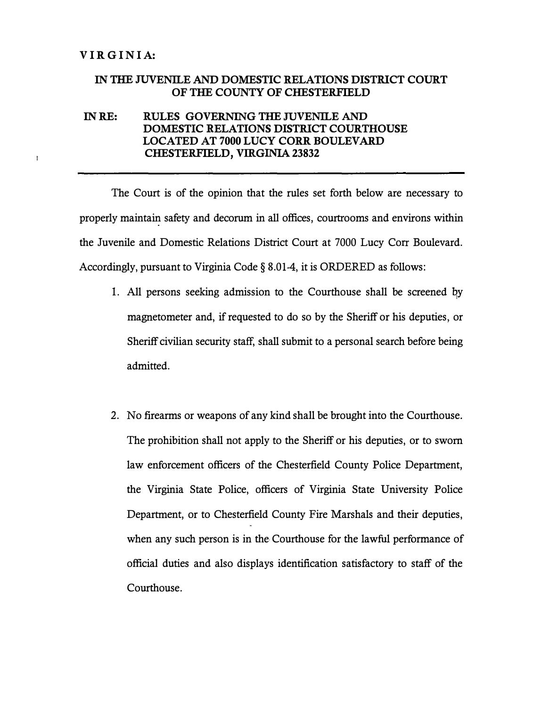à.

## **IN THE JUVENILE AND DOMESTIC RELATIONS DISTRICT COURT OF THE COUNTY OF CHESTERFIELD**

## **INRE: RULES GOVERNING THE JUVENILEAND DOMESTIC RELATIONS DISTRICT COURTHOUSE LOCATED AT 7000 LUCY CORR BOULEVARD CHESTERFIELD, VIRGINIA 23832**

The Court is of the opinion that the rules set forth below are necessary to properly maintain safety and decorum in all offices, courtrooms and environs within the Juvenile and Domestic Relations District Court at 7000 Lucy Corr Boulevard. Accordingly, pursuant to Virginia Code§ 8.01-4, it is ORDERED as follows:

- 1. All persons seeking admission to the Courthouse shall be screened *qy* magnetometer and, if requested to do so by the Sheriff or his deputies, or Sheriff civilian security staff, shall submit to a personal search before being admitted.
- 2. No firearms or weapons of any kind shall be brought into the Courthouse. The prohibition shall not apply to the Sheriff or his deputies, or to sworn law enforcement officers of the Chesterfield County Police Department, the Virginia State Police, officers of Virginia State University Police Department, or to Chesterfield County Fire Marshals and their deputies, when any such person is in the Courthouse for the lawful performance of official duties and also displays identification satisfactory to staff of the Courthouse.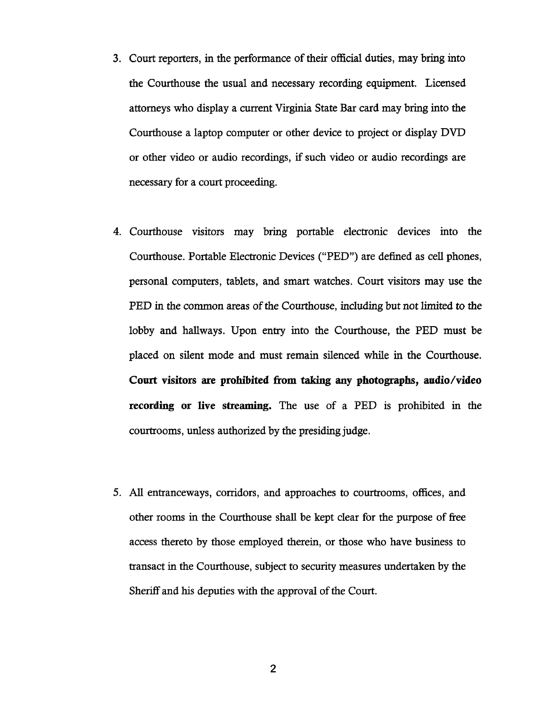- 3. Court reporters, in the performance of their official duties, may bring into the Courthouse the usual and necessary recording equipment. Licensed attorneys who display a current Virginia State Bar card may bring into the Courthouse a laptop computer or other device to project or display DVD or other video or audio recordings, if such video or audio recordings are necessary for a court proceeding.
- 4. Courthouse visitors may bring portable electronic devices into the Courthouse. Portable Electronic Devices ("PED") are defined as cell phones, personal computers, tablets, and smart watches. Court visitors may use the PED in the common areas of the Courthouse, including but not limited to the lobby and hallways. Upon entry into the Courthouse, the PED must be placed on silent mode and must remain silenced while in the Courthouse. Court visitors are prohibited from taking any photographs, audio/video recording or live streaming. The use of a PED is prohibited in the courtrooms, unless authorized by the presiding judge.
- 5. All entranceways, corridors, and approaches to courtrooms, offices, and other rooms in the Courthouse shall be kept clear for the purpose of free access thereto by those employed therein, or those who have business to transact in the Courthouse, subject to security measures undertaken by the Sheriff and his deputies with the approval of the Court.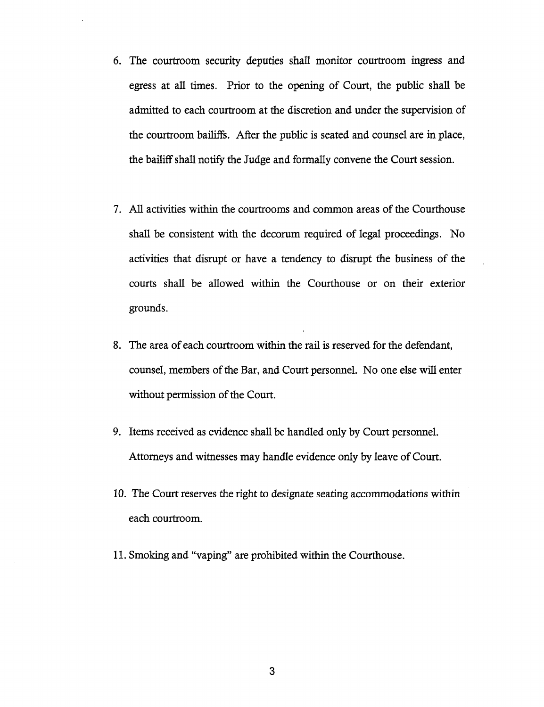- 6. The courtroom security deputies shall monitor courtroom ingress and egress at all times. Prior to the opening of Court, the public shall be admitted to each courtroom at the discretion and under the supervision of the courtroom bailiffs. After the public is seated and counsel are in place, the bailiff shall notify the Judge and formally convene the Court session.
- 7. All activities within the courtrooms and common areas of the Courthouse shall be consistent with the decorum required of legal proceedings. No activities that disrupt or have a tendency to disrupt the business of the courts shall be allowed within the Courthouse or on their exterior grounds.
- 8. The area of each courtroom within the rail is reserved for the defendant, counsel, members of the Bar, and Court personnel. No one else will enter without permission of the Court.
- 9. Items received as evidence shall be handled only by Court personnel. Attorneys and witnesses may handle evidence only by leave of Court.
- 10. The Court reserves the right to designate seating accommodations within each courtroom.
- 11. Smoking and "vaping" are prohibited within the Courthouse.